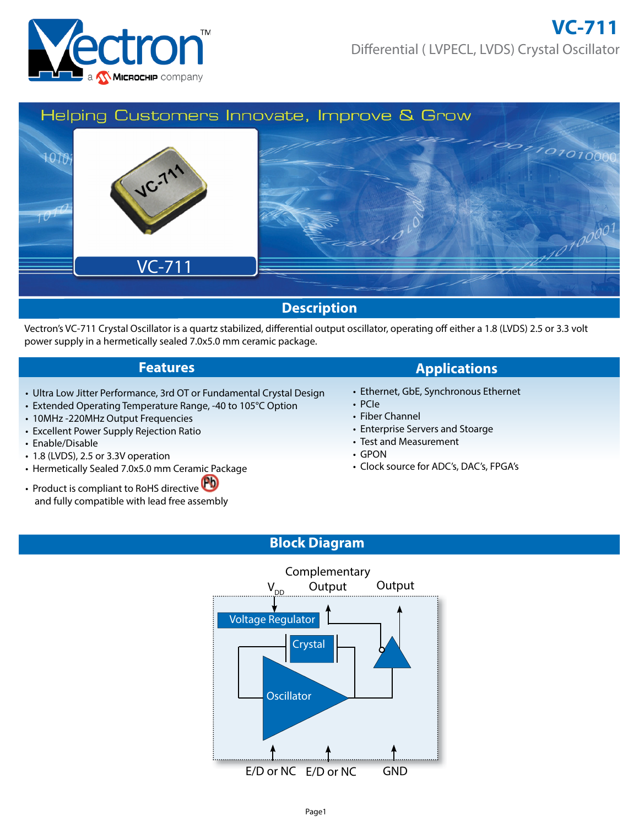



Vectron's VC-711 Crystal Oscillator is a quartz stabilized, differential output oscillator, operating off either a 1.8 (LVDS) 2.5 or 3.3 volt power supply in a hermetically sealed 7.0x5.0 mm ceramic package.

- Ultra Low Jitter Performance, 3rd OT or Fundamental Crystal Design
- Extended Operating Temperature Range, -40 to 105°C Option
- 10MHz -220MHz Output Frequencies
- Excellent Power Supply Rejection Ratio
- Enable/Disable
- 1.8 (LVDS), 2.5 or 3.3V operation
- Hermetically Sealed 7.0x5.0 mm Ceramic Package
- Product is compliant to RoHS directive and fully compatible with lead free assembly

## **Features Applications**

- Ethernet, GbE, Synchronous Ethernet
- PCIe
- Fiber Channel
- Enterprise Servers and Stoarge
- Test and Measurement
- GPON
- Clock source for ADC's, DAC's, FPGA's

# **Block Diagram**

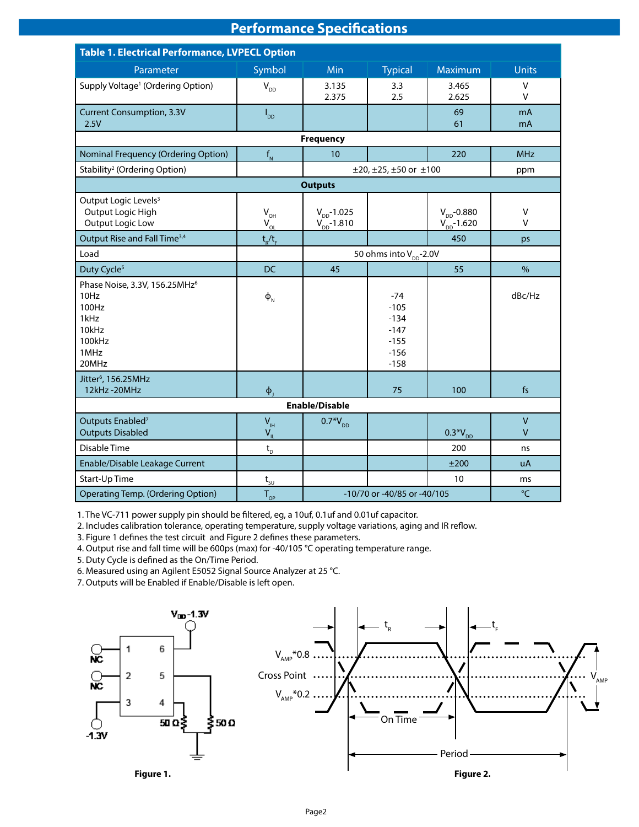# **Performance Specifications**

| <b>Table 1. Electrical Performance, LVPECL Option</b>                                                  |                             |                                      |                                                                   |                                     |                        |  |
|--------------------------------------------------------------------------------------------------------|-----------------------------|--------------------------------------|-------------------------------------------------------------------|-------------------------------------|------------------------|--|
| Parameter                                                                                              | Symbol                      | Min                                  | <b>Typical</b>                                                    | <b>Maximum</b>                      | <b>Units</b>           |  |
| Supply Voltage <sup>1</sup> (Ordering Option)                                                          | $V_{DD}$                    | 3.135<br>2.375                       | 3.3<br>2.5                                                        | 3.465<br>2.625                      | V<br>v                 |  |
| <b>Current Consumption, 3.3V</b><br>2.5V                                                               | $I_{DD}$                    |                                      |                                                                   | 69<br>61                            | mA<br>mA               |  |
|                                                                                                        |                             | <b>Frequency</b>                     |                                                                   |                                     |                        |  |
| <b>Nominal Frequency (Ordering Option)</b>                                                             | $f_{N}$                     | 10                                   |                                                                   | 220                                 | <b>MHz</b>             |  |
| Stability <sup>2</sup> (Ordering Option)                                                               |                             |                                      | $\pm$ 20, $\pm$ 25, $\pm$ 50 or $\pm$ 100                         |                                     | ppm                    |  |
|                                                                                                        |                             | <b>Outputs</b>                       |                                                                   |                                     |                        |  |
| Output Logic Levels <sup>3</sup><br>Output Logic High<br>Output Logic Low                              | $V_{\text{OH}}$<br>$V_{OL}$ | $V_{DD} - 1.025$<br>$V_{DD} - 1.810$ |                                                                   | $V_{DD}$ -0.880<br>$V_{DD} - 1.620$ | V<br>$\mathsf{V}$      |  |
| Output Rise and Fall Time <sup>3,4</sup>                                                               | $t_{R}/t_{F}$               |                                      |                                                                   | 450                                 | ps                     |  |
| Load                                                                                                   |                             | 50 ohms into V <sub>pp</sub> -2.0V   |                                                                   |                                     |                        |  |
| Duty Cycle <sup>5</sup>                                                                                | <b>DC</b>                   | 45                                   |                                                                   | 55                                  | %                      |  |
| Phase Noise, 3.3V, 156.25MHz <sup>6</sup><br>10Hz<br>100Hz<br>1kHz<br>10kHz<br>100kHz<br>1MHz<br>20MHz | $\Phi_{N}$                  |                                      | $-74$<br>$-105$<br>$-134$<br>$-147$<br>$-155$<br>$-156$<br>$-158$ |                                     | dBc/Hz                 |  |
| Jitter <sup>6</sup> , 156.25MHz<br>12kHz-20MHz                                                         | $\phi$                      |                                      | 75                                                                | 100                                 | f <sub>S</sub>         |  |
| <b>Enable/Disable</b>                                                                                  |                             |                                      |                                                                   |                                     |                        |  |
| Outputs Enabled <sup>7</sup><br><b>Outputs Disabled</b>                                                | $V_{\rm IH}$<br>$V_{IL}$    | $0.7*V_{DD}$                         |                                                                   | $0.3*V_{DD}$                        | $\mathsf{V}$<br>$\vee$ |  |
| Disable Time                                                                                           | $t_{\rm D}$                 |                                      |                                                                   | 200                                 | ns                     |  |
| Enable/Disable Leakage Current                                                                         |                             |                                      |                                                                   | ±200                                | <b>uA</b>              |  |
| Start-Up Time                                                                                          | $t_{\underline{sy}}$        |                                      |                                                                   | 10                                  | ms                     |  |
| <b>Operating Temp. (Ordering Option)</b>                                                               | $T_{\alpha}$                |                                      | -10/70 or -40/85 or -40/105                                       |                                     | °C                     |  |

1. The VC-711 power supply pin should be filtered, eg, a 10uf, 0.1uf and 0.01uf capacitor.

2. Includes calibration tolerance, operating temperature, supply voltage variations, aging and IR reflow.

3. Figure 1 defines the test circuit and Figure 2 defines these parameters.

4. Output rise and fall time will be 600ps (max) for -40/105 °C operating temperature range.

5. Duty Cycle is defined as the On/Time Period.

6. Measured using an Agilent E5052 Signal Source Analyzer at 25 °C.

7. Outputs will be Enabled if Enable/Disable is left open.

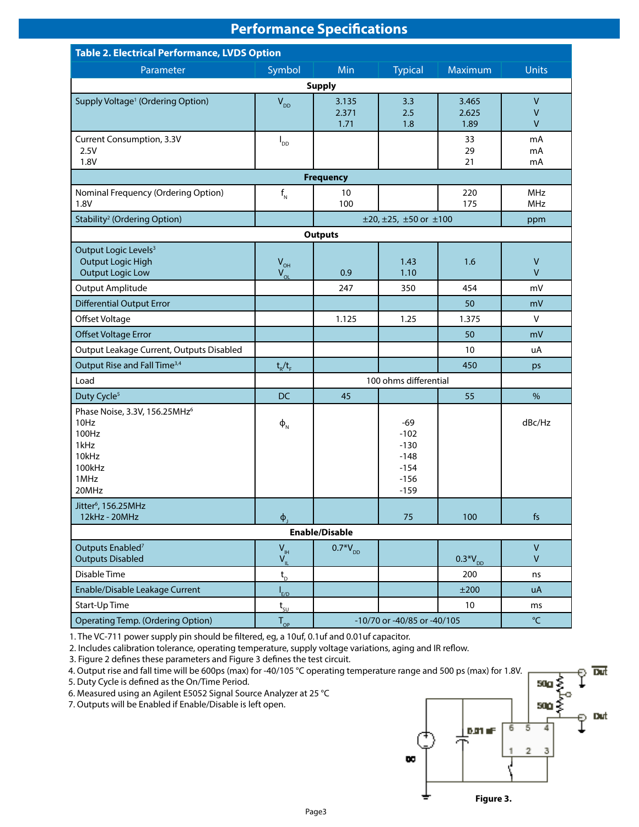# **Performance Specifications**

| <b>Table 2. Electrical Performance, LVDS Option</b>                                                    |                                                          |                             |                                                                   |                        |                                              |  |  |
|--------------------------------------------------------------------------------------------------------|----------------------------------------------------------|-----------------------------|-------------------------------------------------------------------|------------------------|----------------------------------------------|--|--|
| Parameter                                                                                              | Symbol                                                   | Min                         | <b>Typical</b>                                                    | Maximum                | <b>Units</b>                                 |  |  |
| <b>Supply</b>                                                                                          |                                                          |                             |                                                                   |                        |                                              |  |  |
| Supply Voltage <sup>1</sup> (Ordering Option)                                                          | $V_{DD}$                                                 | 3.135<br>2.371<br>1.71      | 3.3<br>2.5<br>1.8                                                 | 3.465<br>2.625<br>1.89 | $\mathsf{V}$<br>$\mathsf{V}$<br>$\mathsf{V}$ |  |  |
| Current Consumption, 3.3V<br>2.5V<br>1.8V                                                              | $I_{DD}$                                                 |                             |                                                                   | 33<br>29<br>21         | mA<br>mA<br>mA                               |  |  |
|                                                                                                        |                                                          | <b>Frequency</b>            |                                                                   |                        |                                              |  |  |
| Nominal Frequency (Ordering Option)<br>1.8V                                                            | $f_{N}$                                                  | 10<br>100                   |                                                                   | 220<br>175             | <b>MHz</b><br><b>MHz</b>                     |  |  |
| Stability <sup>2</sup> (Ordering Option)                                                               |                                                          |                             | $\pm 20, \pm 25, \pm 50$ or $\pm 100$                             |                        | ppm                                          |  |  |
|                                                                                                        |                                                          | <b>Outputs</b>              |                                                                   |                        |                                              |  |  |
| Output Logic Levels <sup>3</sup><br><b>Output Logic High</b><br><b>Output Logic Low</b>                | $V_{\text{OH}}$<br>$V_{OL}$                              | 0.9                         | 1.43<br>1.10                                                      | 1.6                    | $\mathsf{V}$<br>$\mathsf{V}$                 |  |  |
| Output Amplitude                                                                                       |                                                          | 247                         | 350                                                               | 454                    | mV                                           |  |  |
| <b>Differential Output Error</b>                                                                       |                                                          |                             |                                                                   | 50                     | mV                                           |  |  |
| Offset Voltage                                                                                         |                                                          | 1.125                       | 1.25                                                              | 1.375                  | V                                            |  |  |
| <b>Offset Voltage Error</b>                                                                            |                                                          |                             |                                                                   | 50                     | mV                                           |  |  |
| Output Leakage Current, Outputs Disabled                                                               |                                                          |                             |                                                                   | 10                     | uA                                           |  |  |
| Output Rise and Fall Time <sup>3,4</sup>                                                               | $t_R/t_F$                                                |                             |                                                                   | 450                    | ps                                           |  |  |
| Load                                                                                                   |                                                          | 100 ohms differential       |                                                                   |                        |                                              |  |  |
| Duty Cycle <sup>5</sup>                                                                                | DC                                                       | 45                          |                                                                   | 55                     | $\%$                                         |  |  |
| Phase Noise, 3.3V, 156.25MHz <sup>6</sup><br>10Hz<br>100Hz<br>1kHz<br>10kHz<br>100kHz<br>1MHz<br>20MHz | $\Phi_{N}$                                               |                             | $-69$<br>$-102$<br>$-130$<br>$-148$<br>$-154$<br>$-156$<br>$-159$ |                        | dBc/Hz                                       |  |  |
| Jitter <sup>6</sup> , 156.25MHz<br>12kHz - 20MHz                                                       | $\Phi$ <sub>1</sub>                                      |                             | 75                                                                | 100                    | fs                                           |  |  |
| <b>Enable/Disable</b>                                                                                  |                                                          |                             |                                                                   |                        |                                              |  |  |
| Outputs Enabled <sup>7</sup><br><b>Outputs Disabled</b>                                                | $\mathsf{V}_{\scriptscriptstyle\mathsf{IH}}$<br>$V_{IL}$ | $0.7*V_{DD}$                |                                                                   | $0.3*V_{DD}$           | V<br>V                                       |  |  |
| Disable Time                                                                                           | $t_{\rm D}$                                              |                             |                                                                   | 200                    | ns                                           |  |  |
| Enable/Disable Leakage Current                                                                         | $I_{E/D}$                                                |                             |                                                                   | ±200                   | uA                                           |  |  |
| Start-Up Time                                                                                          | $t_{\rm SU}$                                             |                             |                                                                   | 10 <sup>°</sup>        | ms                                           |  |  |
| <b>Operating Temp. (Ordering Option)</b>                                                               | $T_{_{OP}}$                                              | -10/70 or -40/85 or -40/105 |                                                                   |                        | $\mathrm{C}$                                 |  |  |

1. The VC-711 power supply pin should be filtered, eg, a 10uf, 0.1uf and 0.01uf capacitor.

2. Includes calibration tolerance, operating temperature, supply voltage variations, aging and IR reflow.

3. Figure 2 defines these parameters and Figure 3 defines the test circuit.

4. Output rise and fall time will be 600ps (max) for -40/105 °C operating temperature range and 500 ps (max) for 1.8V.

5. Duty Cycle is defined as the On/Time Period.

6. Measured using an Agilent E5052 Signal Source Analyzer at 25 °C

7. Outputs will be Enabled if Enable/Disable is left open.

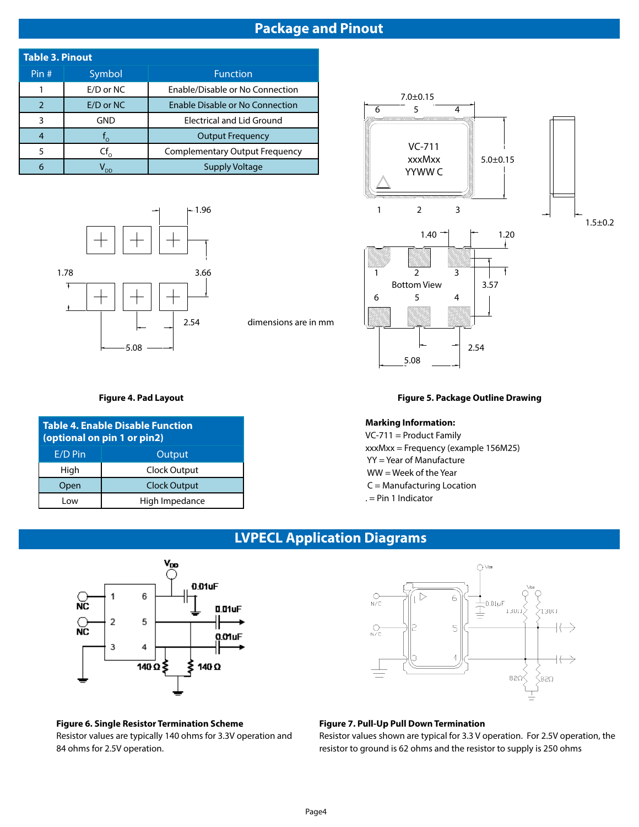# **Package and Pinout**

| <b>Table 3. Pinout</b> |                           |                                        |  |  |  |  |
|------------------------|---------------------------|----------------------------------------|--|--|--|--|
| Pin#                   | Symbol<br><b>Function</b> |                                        |  |  |  |  |
|                        | E/D or NC                 | Enable/Disable or No Connection        |  |  |  |  |
|                        | E/D or NC                 | <b>Enable Disable or No Connection</b> |  |  |  |  |
| ঽ                      | GND                       | <b>Electrical and Lid Ground</b>       |  |  |  |  |
|                        | $\circ$                   | <b>Output Frequency</b>                |  |  |  |  |
| 5                      | $Cf_{0}$                  | <b>Complementary Output Frequency</b>  |  |  |  |  |
| 6                      | חח                        | Supply Voltage                         |  |  |  |  |



**Figure 4. Pad Layout**

**Table 4. Enable Disable Function (optional on pin 1 or pin2)**

E/D Pin | Output High Clock Output Open Clock Output Low | High Impedance dimensions are in mm



## **Figure 5. Package Outline Drawing**

## **Marking Information:**

5.08

VC-711 = Product Family xxxMxx = Frequency (example 156M25) YY = Year of Manufacture WW = Week of the Year C = Manufacturing Location . = Pin 1 Indicator

# **LVPECL Application Diagrams**



## **Figure 6. Single Resistor Termination Scheme** Resistor values are typically 140 ohms for 3.3V operation and 84 ohms for 2.5V operation.



## **Figure 7. Pull-Up Pull Down Termination**

Resistor values shown are typical for 3.3 V operation. For 2.5V operation, the resistor to ground is 62 ohms and the resistor to supply is 250 ohms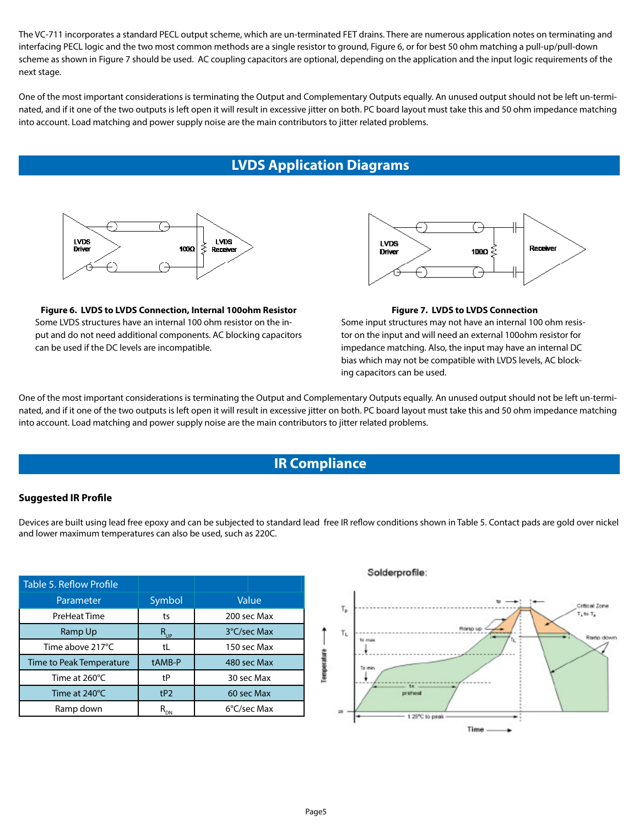The VC-711 incorporates a standard PECL output scheme, which are un-terminated FET drains. There are numerous application notes on terminating and interfacing PECL logic and the two most common methods are a single resistor to ground, Figure 6, or for best 50 ohm matching a pull-up/pull-down scheme as shown in Figure 7 should be used. AC coupling capacitors are optional, depending on the application and the input logic requirements of the next stage.

One of the most important considerations is terminating the Output and Complementary Outputs equally. An unused output should not be left un-terminated, and if it one of the two outputs is left open it will result in excessive jitter on both. PC board layout must take this and 50 ohm impedance matching into account. Load matching and power supply noise are the main contributors to jitter related problems.

# **LVDS Application Diagrams**



**Figure 6. LVDS to LVDS Connection, Internal 100ohm Resistor**  Some LVDS structures have an internal 100 ohm resistor on the input and do not need additional components. AC blocking capacitors can be used if the DC levels are incompatible.



#### **Figure 7. LVDS to LVDS Connection**

Some input structures may not have an internal 100 ohm resistor on the input and will need an external 100ohm resistor for impedance matching. Also, the input may have an internal DC bias which may not be compatible with LVDS levels, AC blocking capacitors can be used.

One of the most important considerations is terminating the Output and Complementary Outputs equally. An unused output should not be left un-terminated, and if it one of the two outputs is left open it will result in excessive jitter on both. PC board layout must take this and 50 ohm impedance matching into account. Load matching and power supply noise are the main contributors to jitter related problems.

## **IR Compliance**

## **Suggested IR Profile**

Devices are built using lead free epoxy and can be subjected to standard lead free IR reflow conditions shown in Table 5. Contact pads are gold over nickel and lower maximum temperatures can also be used, such as 220C.

| Table 5. Reflow Profile  |                            |             |
|--------------------------|----------------------------|-------------|
| Parameter                | Symbol                     | Value       |
| PreHeat Time             | ts                         | 200 sec Max |
| Ramp Up                  | $R_{_{UP}}$                | 3°C/sec Max |
| Time above 217°C         | tL                         | 150 sec Max |
| Time to Peak Temperature | tAMB-P                     | 480 sec Max |
| Time at 260°C            | tP                         | 30 sec Max  |
| Time at 240°C            | tP2                        | 60 sec Max  |
| Ramp down                | $\mathsf{R}_{\mathsf{DN}}$ | 6°C/sec Max |

## Solderprofile:

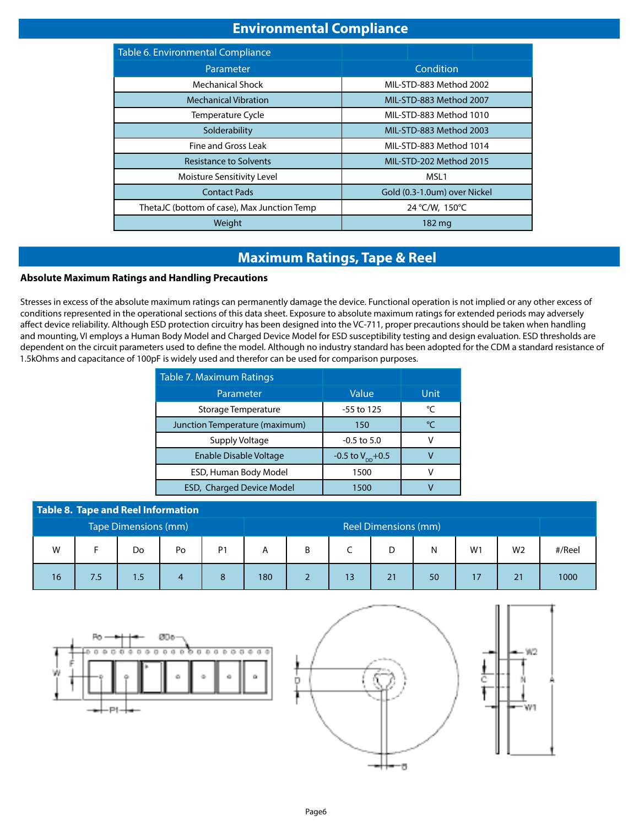# **Environmental Compliance**

| Table 6. Environmental Compliance           |                              |  |  |  |
|---------------------------------------------|------------------------------|--|--|--|
| Parameter                                   | Condition                    |  |  |  |
| Mechanical Shock                            | MIL-STD-883 Method 2002      |  |  |  |
| <b>Mechanical Vibration</b>                 | MIL-STD-883 Method 2007      |  |  |  |
| <b>Temperature Cycle</b>                    | MIL-STD-883 Method 1010      |  |  |  |
| Solderability                               | MIL-STD-883 Method 2003      |  |  |  |
| Fine and Gross Leak                         | MIL-STD-883 Method 1014      |  |  |  |
| <b>Resistance to Solvents</b>               | MIL-STD-202 Method 2015      |  |  |  |
| Moisture Sensitivity Level                  | MSL <sub>1</sub>             |  |  |  |
| <b>Contact Pads</b>                         | Gold (0.3-1.0um) over Nickel |  |  |  |
| ThetaJC (bottom of case), Max Junction Temp | 24 °C/W, 150°C               |  |  |  |
| Weight                                      | 182 mg                       |  |  |  |

# **Maximum Ratings, Tape & Reel**

## **Absolute Maximum Ratings and Handling Precautions S**

Stresses in excess of the absolute maximum ratings can permanently damage the device. Functional operation is not implied or any other excess of conditions represented in the operational sections of this data sheet. Exposure to absolute maximum ratings for extended periods may adversely affect device reliability. Although ESD protection circuitry has been designed into the VC-711, proper precautions should be taken when handling and mounting, VI employs a Human Body Model and Charged Device Model for ESD susceptibility testing and design evaluation. ESD thresholds are dependent on the circuit parameters used to define the model. Although no industry standard has been adopted for the CDM a standard resistance of 1.5kOhms and capacitance of 100pF is widely used and therefor can be used for comparison purposes.

| Table 7. Maximum Ratings         |                              |               |
|----------------------------------|------------------------------|---------------|
| Parameter                        | Value                        | Unit          |
| Storage Temperature              | -55 to 125                   | °C            |
| Junction Temperature (maximum)   | 150                          | $\mathcal{C}$ |
| Supply Voltage                   | $-0.5$ to 5.0                |               |
| <b>Enable Disable Voltage</b>    | -0.5 to $V_{\text{nn}}$ +0.5 |               |
| ESD, Human Body Model            | 1500                         |               |
| <b>ESD, Charged Device Model</b> | 1500                         |               |

|                      | Table 8. Tape and Reel Information |     |                      |    |     |   |    |    |    |    |                |        |
|----------------------|------------------------------------|-----|----------------------|----|-----|---|----|----|----|----|----------------|--------|
| Tape Dimensions (mm) |                                    |     | Reel Dimensions (mm) |    |     |   |    |    |    |    |                |        |
| W                    |                                    | Do  | Po                   | P1 | Α   | B |    | D  | N  | W1 | W <sub>2</sub> | #/Reel |
| 16                   | 7.5                                | 1.5 |                      |    | 180 |   | 13 | 21 | 50 |    | 21             | 1000   |

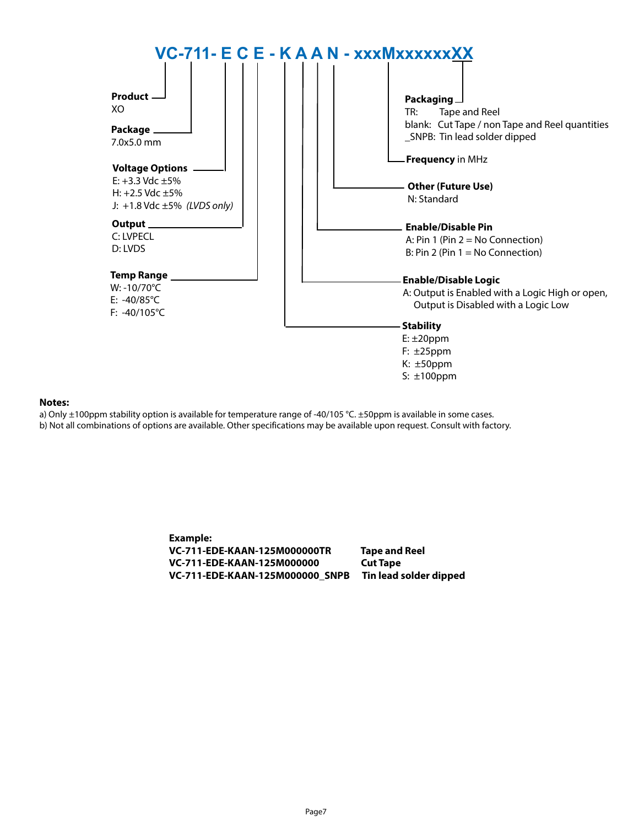

## **Notes:**

a) Only ±100ppm stability option is available for temperature range of -40/105 °C. ±50ppm is available in some cases. b) Not all combinations of options are available. Other specifications may be available upon request. Consult with factory.

> **Example: VC-711-EDE-KAAN-125M000000TR Tape and Reel VC-711-EDE-KAAN-125M000000 Cut Tape VC-711-EDE-KAAN-125M000000\_SNPB Tin lead solder dipped**